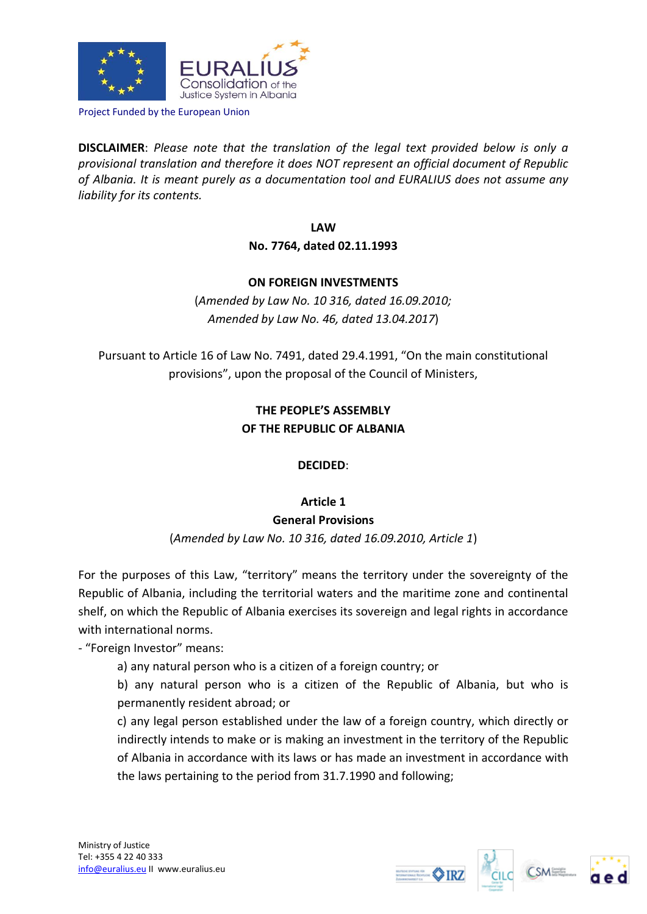

Project Funded by the European Union

**DISCLAIMER**: *Please note that the translation of the legal text provided below is only a provisional translation and therefore it does NOT represent an official document of Republic of Albania. It is meant purely as a documentation tool and EURALIUS does not assume any liability for its contents.*

> **LAW No. 7764, dated 02.11.1993**

#### **ON FOREIGN INVESTMENTS**

(*Amended by Law No. 10 316, dated 16.09.2010; Amended by Law No. 46, dated 13.04.2017*)

Pursuant to Article 16 of Law No. 7491, dated 29.4.1991, "On the main constitutional provisions", upon the proposal of the Council of Ministers,

# **THE PEOPLE'S ASSEMBLY OF THE REPUBLIC OF ALBANIA**

# **DECIDED**:

# **Article 1**

#### **General Provisions**

(*Amended by Law No. 10 316, dated 16.09.2010, Article 1*)

For the purposes of this Law, "territory" means the territory under the sovereignty of the Republic of Albania, including the territorial waters and the maritime zone and continental shelf, on which the Republic of Albania exercises its sovereign and legal rights in accordance with international norms.

- "Foreign Investor" means:

a) any natural person who is a citizen of a foreign country; or

b) any natural person who is a citizen of the Republic of Albania, but who is permanently resident abroad; or

c) any legal person established under the law of a foreign country, which directly or indirectly intends to make or is making an investment in the territory of the Republic of Albania in accordance with its laws or has made an investment in accordance with the laws pertaining to the period from 31.7.1990 and following;





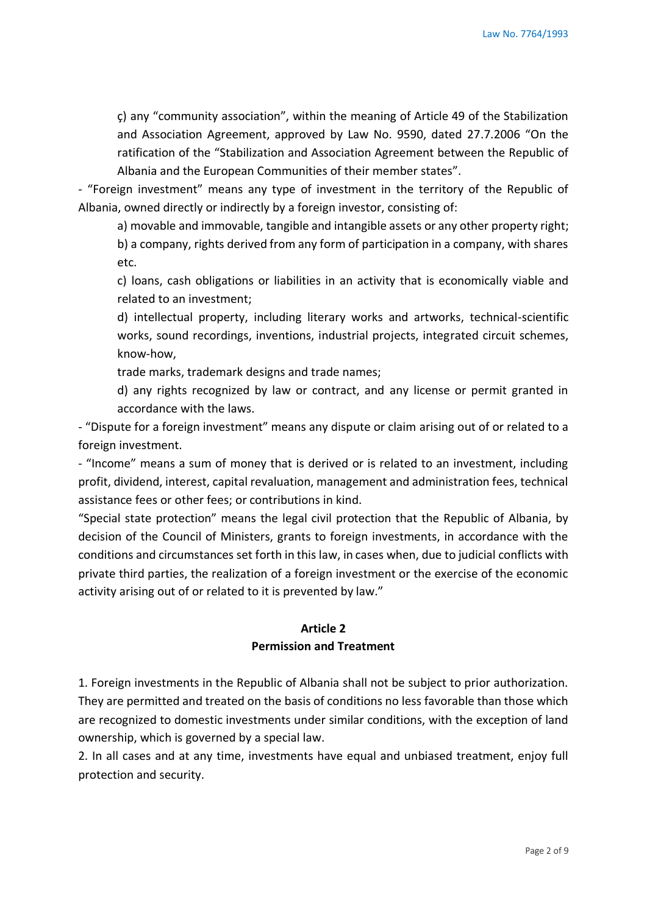ç) any "community association", within the meaning of Article 49 of the Stabilization and Association Agreement, approved by Law No. 9590, dated 27.7.2006 "On the ratification of the "Stabilization and Association Agreement between the Republic of Albania and the European Communities of their member states".

- "Foreign investment" means any type of investment in the territory of the Republic of Albania, owned directly or indirectly by a foreign investor, consisting of:

a) movable and immovable, tangible and intangible assets or any other property right;

b) a company, rights derived from any form of participation in a company, with shares etc.

c) loans, cash obligations or liabilities in an activity that is economically viable and related to an investment;

d) intellectual property, including literary works and artworks, technical-scientific works, sound recordings, inventions, industrial projects, integrated circuit schemes, know-how,

trade marks, trademark designs and trade names;

d) any rights recognized by law or contract, and any license or permit granted in accordance with the laws.

- "Dispute for a foreign investment" means any dispute or claim arising out of or related to a foreign investment.

- "Income" means a sum of money that is derived or is related to an investment, including profit, dividend, interest, capital revaluation, management and administration fees, technical assistance fees or other fees; or contributions in kind.

"Special state protection" means the legal civil protection that the Republic of Albania, by decision of the Council of Ministers, grants to foreign investments, in accordance with the conditions and circumstances set forth in this law, in cases when, due to judicial conflicts with private third parties, the realization of a foreign investment or the exercise of the economic activity arising out of or related to it is prevented by law."

### **Article 2 Permission and Treatment**

1. Foreign investments in the Republic of Albania shall not be subject to prior authorization. They are permitted and treated on the basis of conditions no less favorable than those which are recognized to domestic investments under similar conditions, with the exception of land ownership, which is governed by a special law.

2. In all cases and at any time, investments have equal and unbiased treatment, enjoy full protection and security.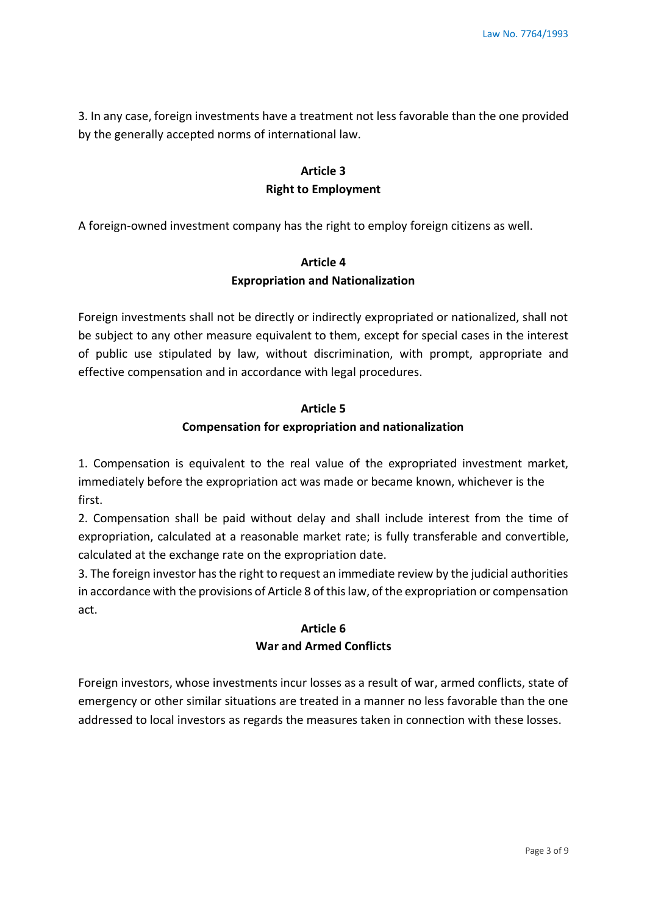3. In any case, foreign investments have a treatment not less favorable than the one provided by the generally accepted norms of international law.

# **Article 3 Right to Employment**

A foreign-owned investment company has the right to employ foreign citizens as well.

# **Article 4 Expropriation and Nationalization**

Foreign investments shall not be directly or indirectly expropriated or nationalized, shall not be subject to any other measure equivalent to them, except for special cases in the interest of public use stipulated by law, without discrimination, with prompt, appropriate and effective compensation and in accordance with legal procedures.

#### **Article 5**

### **Compensation for expropriation and nationalization**

1. Compensation is equivalent to the real value of the expropriated investment market, immediately before the expropriation act was made or became known, whichever is the first.

2. Compensation shall be paid without delay and shall include interest from the time of expropriation, calculated at a reasonable market rate; is fully transferable and convertible, calculated at the exchange rate on the expropriation date.

3. The foreign investor has the right to request an immediate review by the judicial authorities in accordance with the provisions of Article 8 of this law, of the expropriation or compensation act.

# **Article 6 War and Armed Conflicts**

Foreign investors, whose investments incur losses as a result of war, armed conflicts, state of emergency or other similar situations are treated in a manner no less favorable than the one addressed to local investors as regards the measures taken in connection with these losses.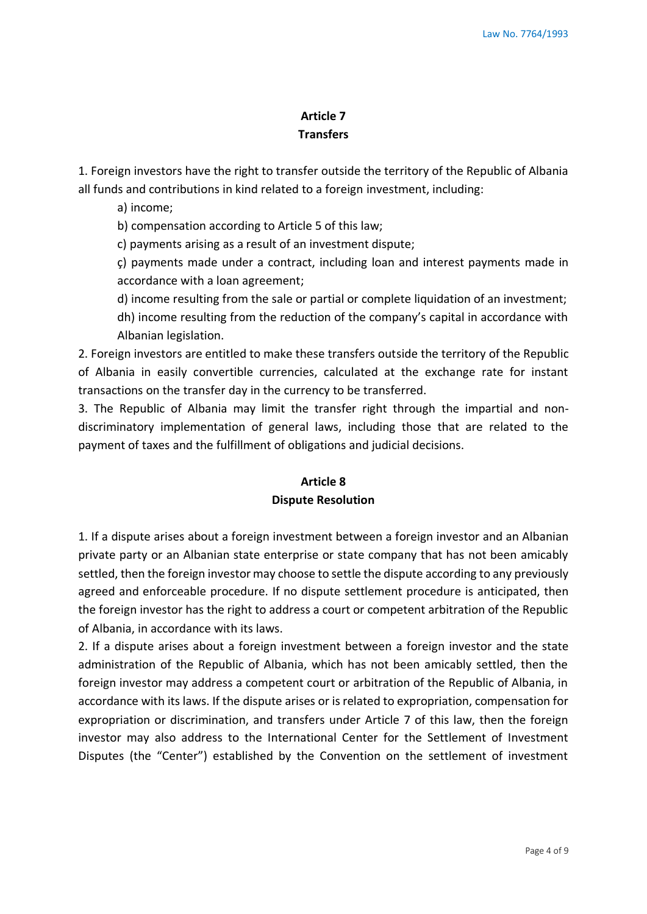# **Article 7 Transfers**

1. Foreign investors have the right to transfer outside the territory of the Republic of Albania all funds and contributions in kind related to a foreign investment, including:

a) income;

b) compensation according to Article 5 of this law;

c) payments arising as a result of an investment dispute;

ç) payments made under a contract, including loan and interest payments made in accordance with a loan agreement;

d) income resulting from the sale or partial or complete liquidation of an investment;

dh) income resulting from the reduction of the company's capital in accordance with Albanian legislation.

2. Foreign investors are entitled to make these transfers outside the territory of the Republic of Albania in easily convertible currencies, calculated at the exchange rate for instant transactions on the transfer day in the currency to be transferred.

3. The Republic of Albania may limit the transfer right through the impartial and nondiscriminatory implementation of general laws, including those that are related to the payment of taxes and the fulfillment of obligations and judicial decisions.

# **Article 8**

#### **Dispute Resolution**

1. If a dispute arises about a foreign investment between a foreign investor and an Albanian private party or an Albanian state enterprise or state company that has not been amicably settled, then the foreign investor may choose to settle the dispute according to any previously agreed and enforceable procedure. If no dispute settlement procedure is anticipated, then the foreign investor has the right to address a court or competent arbitration of the Republic of Albania, in accordance with its laws.

2. If a dispute arises about a foreign investment between a foreign investor and the state administration of the Republic of Albania, which has not been amicably settled, then the foreign investor may address a competent court or arbitration of the Republic of Albania, in accordance with its laws. If the dispute arises or is related to expropriation, compensation for expropriation or discrimination, and transfers under Article 7 of this law, then the foreign investor may also address to the International Center for the Settlement of Investment Disputes (the "Center") established by the Convention on the settlement of investment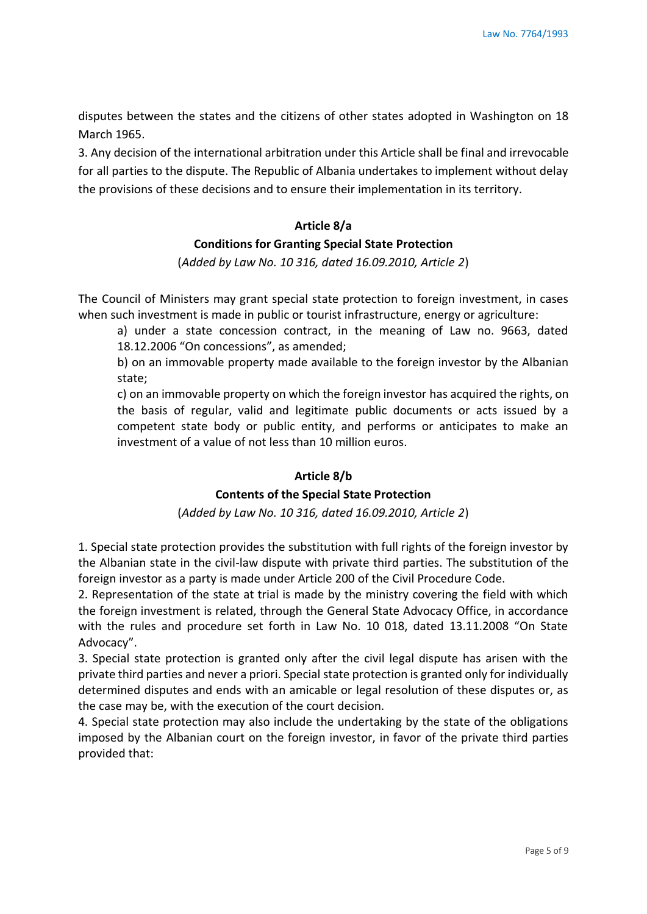disputes between the states and the citizens of other states adopted in Washington on 18 March 1965.

3. Any decision of the international arbitration under this Article shall be final and irrevocable for all parties to the dispute. The Republic of Albania undertakes to implement without delay the provisions of these decisions and to ensure their implementation in its territory.

# **Article 8/a Conditions for Granting Special State Protection**

(*Added by Law No. 10 316, dated 16.09.2010, Article 2*)

The Council of Ministers may grant special state protection to foreign investment, in cases when such investment is made in public or tourist infrastructure, energy or agriculture:

a) under a state concession contract, in the meaning of Law no. 9663, dated 18.12.2006 "On concessions", as amended;

b) on an immovable property made available to the foreign investor by the Albanian state;

c) on an immovable property on which the foreign investor has acquired the rights, on the basis of regular, valid and legitimate public documents or acts issued by a competent state body or public entity, and performs or anticipates to make an investment of a value of not less than 10 million euros.

#### **Article 8/b**

#### **Contents of the Special State Protection**

(*Added by Law No. 10 316, dated 16.09.2010, Article 2*)

1. Special state protection provides the substitution with full rights of the foreign investor by the Albanian state in the civil-law dispute with private third parties. The substitution of the foreign investor as a party is made under Article 200 of the Civil Procedure Code.

2. Representation of the state at trial is made by the ministry covering the field with which the foreign investment is related, through the General State Advocacy Office, in accordance with the rules and procedure set forth in Law No. 10 018, dated 13.11.2008 "On State Advocacy".

3. Special state protection is granted only after the civil legal dispute has arisen with the private third parties and never a priori. Special state protection is granted only for individually determined disputes and ends with an amicable or legal resolution of these disputes or, as the case may be, with the execution of the court decision.

4. Special state protection may also include the undertaking by the state of the obligations imposed by the Albanian court on the foreign investor, in favor of the private third parties provided that: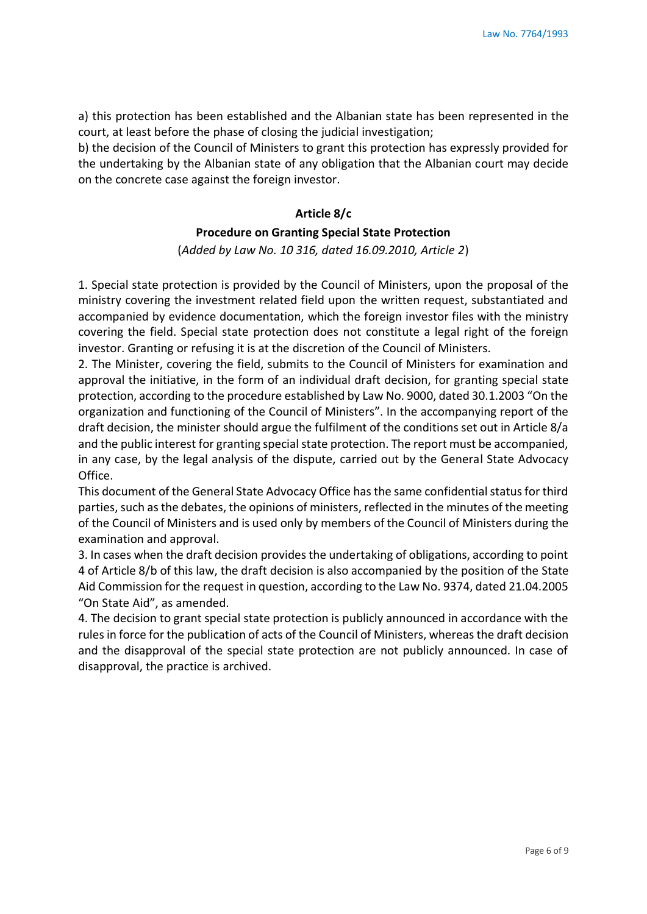a) this protection has been established and the Albanian state has been represented in the court, at least before the phase of closing the judicial investigation;

b) the decision of the Council of Ministers to grant this protection has expressly provided for the undertaking by the Albanian state of any obligation that the Albanian court may decide on the concrete case against the foreign investor.

#### **Article 8/c**

#### **Procedure on Granting Special State Protection**

(*Added by Law No. 10 316, dated 16.09.2010, Article 2*)

1. Special state protection is provided by the Council of Ministers, upon the proposal of the ministry covering the investment related field upon the written request, substantiated and accompanied by evidence documentation, which the foreign investor files with the ministry covering the field. Special state protection does not constitute a legal right of the foreign investor. Granting or refusing it is at the discretion of the Council of Ministers.

2. The Minister, covering the field, submits to the Council of Ministers for examination and approval the initiative, in the form of an individual draft decision, for granting special state protection, according to the procedure established by Law No. 9000, dated 30.1.2003 "On the organization and functioning of the Council of Ministers". In the accompanying report of the draft decision, the minister should argue the fulfilment of the conditions set out in Article 8/a and the public interest for granting special state protection. The report must be accompanied, in any case, by the legal analysis of the dispute, carried out by the General State Advocacy Office.

This document of the General State Advocacy Office has the same confidential status for third parties, such as the debates, the opinions of ministers, reflected in the minutes of the meeting of the Council of Ministers and is used only by members of the Council of Ministers during the examination and approval.

3. In cases when the draft decision provides the undertaking of obligations, according to point 4 of Article 8/b of this law, the draft decision is also accompanied by the position of the State Aid Commission for the request in question, according to the Law No. 9374, dated 21.04.2005 "On State Aid", as amended.

4. The decision to grant special state protection is publicly announced in accordance with the rules in force for the publication of acts of the Council of Ministers, whereas the draft decision and the disapproval of the special state protection are not publicly announced. In case of disapproval, the practice is archived.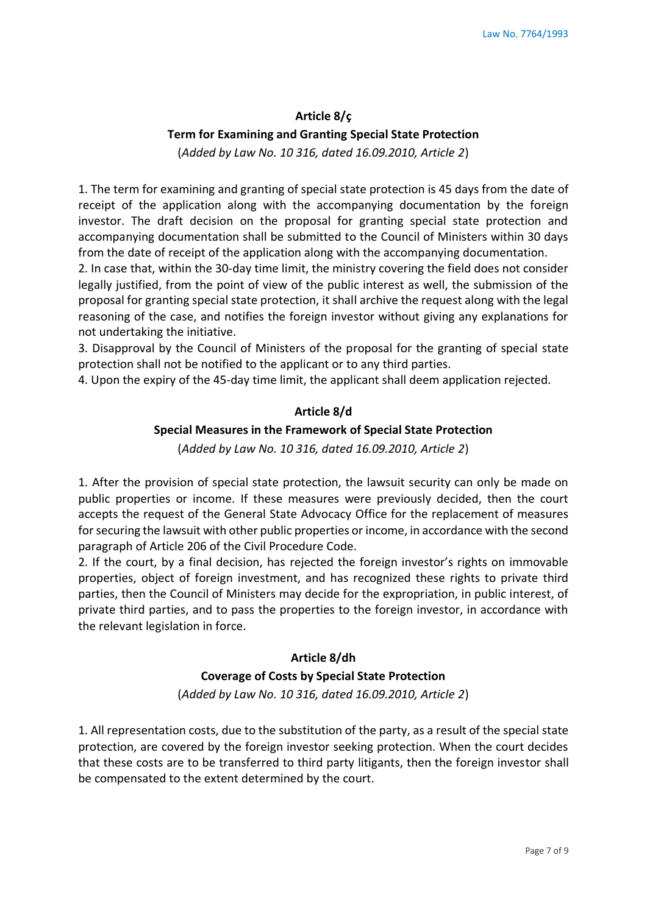# **Article 8/ç Term for Examining and Granting Special State Protection**  (*Added by Law No. 10 316, dated 16.09.2010, Article 2*)

1. The term for examining and granting of special state protection is 45 days from the date of receipt of the application along with the accompanying documentation by the foreign investor. The draft decision on the proposal for granting special state protection and accompanying documentation shall be submitted to the Council of Ministers within 30 days from the date of receipt of the application along with the accompanying documentation.

2. In case that, within the 30-day time limit, the ministry covering the field does not consider legally justified, from the point of view of the public interest as well, the submission of the proposal for granting special state protection, it shall archive the request along with the legal reasoning of the case, and notifies the foreign investor without giving any explanations for not undertaking the initiative.

3. Disapproval by the Council of Ministers of the proposal for the granting of special state protection shall not be notified to the applicant or to any third parties.

4. Upon the expiry of the 45-day time limit, the applicant shall deem application rejected.

#### **Article 8/d**

#### **Special Measures in the Framework of Special State Protection**

(*Added by Law No. 10 316, dated 16.09.2010, Article 2*)

1. After the provision of special state protection, the lawsuit security can only be made on public properties or income. If these measures were previously decided, then the court accepts the request of the General State Advocacy Office for the replacement of measures for securing the lawsuit with other public properties or income, in accordance with the second paragraph of Article 206 of the Civil Procedure Code.

2. If the court, by a final decision, has rejected the foreign investor's rights on immovable properties, object of foreign investment, and has recognized these rights to private third parties, then the Council of Ministers may decide for the expropriation, in public interest, of private third parties, and to pass the properties to the foreign investor, in accordance with the relevant legislation in force.

#### **Article 8/dh**

#### **Coverage of Costs by Special State Protection**

(*Added by Law No. 10 316, dated 16.09.2010, Article 2*)

1. All representation costs, due to the substitution of the party, as a result of the special state protection, are covered by the foreign investor seeking protection. When the court decides that these costs are to be transferred to third party litigants, then the foreign investor shall be compensated to the extent determined by the court.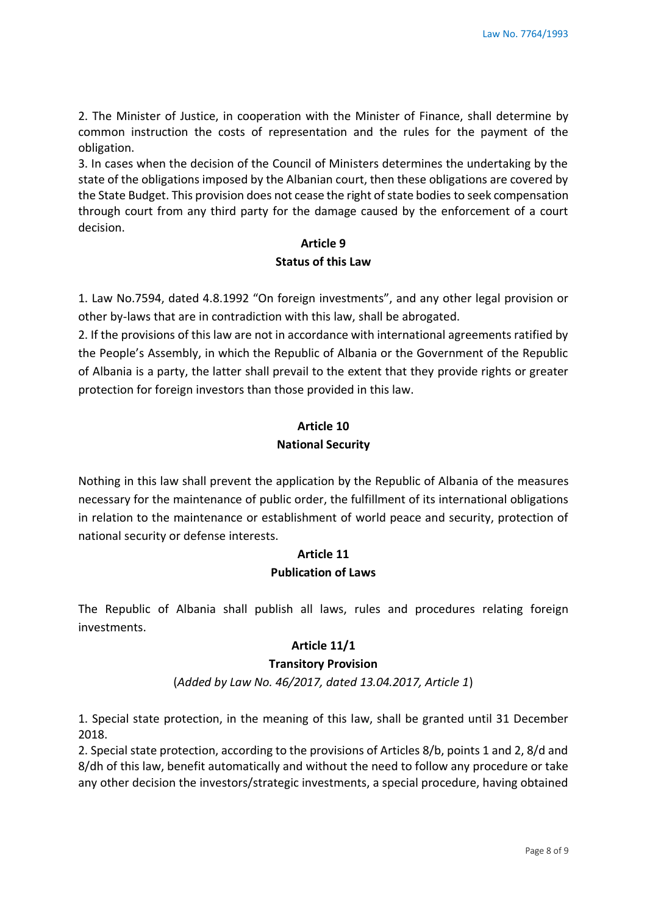2. The Minister of Justice, in cooperation with the Minister of Finance, shall determine by common instruction the costs of representation and the rules for the payment of the obligation.

3. In cases when the decision of the Council of Ministers determines the undertaking by the state of the obligations imposed by the Albanian court, then these obligations are covered by the State Budget. This provision does not cease the right of state bodies to seek compensation through court from any third party for the damage caused by the enforcement of a court decision.

# **Article 9**

# **Status of this Law**

1. Law No.7594, dated 4.8.1992 "On foreign investments", and any other legal provision or other by-laws that are in contradiction with this law, shall be abrogated.

2. If the provisions of this law are not in accordance with international agreements ratified by the People's Assembly, in which the Republic of Albania or the Government of the Republic of Albania is a party, the latter shall prevail to the extent that they provide rights or greater protection for foreign investors than those provided in this law.

# **Article 10 National Security**

Nothing in this law shall prevent the application by the Republic of Albania of the measures necessary for the maintenance of public order, the fulfillment of its international obligations in relation to the maintenance or establishment of world peace and security, protection of national security or defense interests.

# **Article 11 Publication of Laws**

The Republic of Albania shall publish all laws, rules and procedures relating foreign investments.

# **Article 11/1**

# **Transitory Provision**

(*Added by Law No. 46/2017, dated 13.04.2017, Article 1*)

1. Special state protection, in the meaning of this law, shall be granted until 31 December 2018.

2. Special state protection, according to the provisions of Articles 8/b, points 1 and 2, 8/d and 8/dh of this law, benefit automatically and without the need to follow any procedure or take any other decision the investors/strategic investments, a special procedure, having obtained